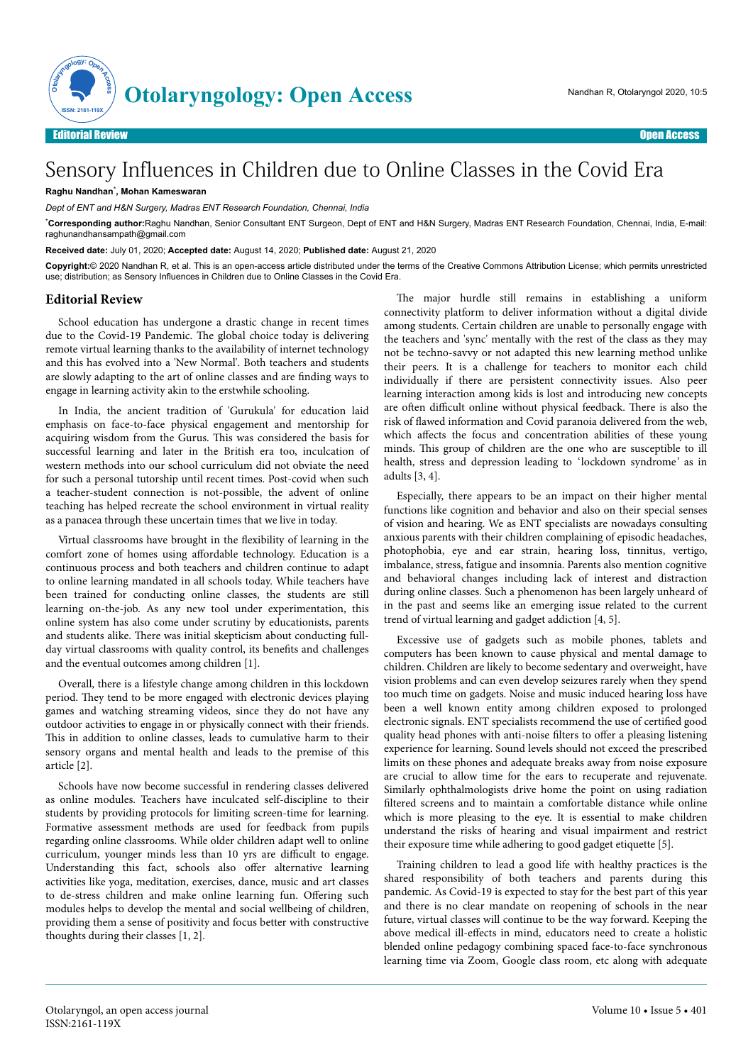

## Sensory Influences in Children due to Online Classes in the Covid Era

## **Raghu Nandhan**\* **, Mohan Kameswaran**

*Dept of ENT and H&N Surgery, Madras ENT Research Foundation, Chennai, India*

\***Corresponding author:**Raghu Nandhan, Senior Consultant ENT Surgeon, Dept of ENT and H&N Surgery, Madras ENT Research Foundation, Chennai, India, E-mail: raghunandhansampath@gmail.com

**Received date:** July 01, 2020; **Accepted date:** August 14, 2020; **Published date:** August 21, 2020

**Copyright:**© 2020 Nandhan R, et al. This is an open-access article distributed under the terms of the Creative Commons Attribution License; which permits unrestricted use; distribution; as Sensory Influences in Children due to Online Classes in the Covid Era.

## **Editorial Review**

School education has undergone a drastic change in recent times due to the Covid-19 Pandemic. The global choice today is delivering remote virtual learning thanks to the availability of internet technology and this has evolved into a 'New Normal'. Both teachers and students are slowly adapting to the art of online classes and are finding ways to engage in learning activity akin to the erstwhile schooling.

In India, the ancient tradition of 'Gurukula' for education laid emphasis on face-to-face physical engagement and mentorship for acquiring wisdom from the Gurus. This was considered the basis for successful learning and later in the British era too, inculcation of western methods into our school curriculum did not obviate the need for such a personal tutorship until recent times. Post-covid when such a teacher-student connection is not-possible, the advent of online teaching has helped recreate the school environment in virtual reality as a panacea through these uncertain times that we live in today.

Virtual classrooms have brought in the flexibility of learning in the comfort zone of homes using affordable technology. Education is a continuous process and both teachers and children continue to adapt to online learning mandated in all schools today. While teachers have been trained for conducting online classes, the students are still learning on-the-job. As any new tool under experimentation, this online system has also come under scrutiny by educationists, parents and students alike. There was initial skepticism about conducting fullday virtual classrooms with quality control, its benefits and challenges and the eventual outcomes among children [1].

Overall, there is a lifestyle change among children in this lockdown period. They tend to be more engaged with electronic devices playing games and watching streaming videos, since they do not have any outdoor activities to engage in or physically connect with their friends. This in addition to online classes, leads to cumulative harm to their sensory organs and mental health and leads to the premise of this article [2].

Schools have now become successful in rendering classes delivered as online modules. Teachers have inculcated self-discipline to their students by providing protocols for limiting screen-time for learning. Formative assessment methods are used for feedback from pupils regarding online classrooms. While older children adapt well to online curriculum, younger minds less than 10 yrs are difficult to engage. Understanding this fact, schools also offer alternative learning activities like yoga, meditation, exercises, dance, music and art classes to de-stress children and make online learning fun. Offering such modules helps to develop the mental and social wellbeing of children, providing them a sense of positivity and focus better with constructive thoughts during their classes [1, 2].

The major hurdle still remains in establishing a uniform connectivity platform to deliver information without a digital divide among students. Certain children are unable to personally engage with the teachers and 'sync' mentally with the rest of the class as they may not be techno-savvy or not adapted this new learning method unlike their peers. It is a challenge for teachers to monitor each child individually if there are persistent connectivity issues. Also peer learning interaction among kids is lost and introducing new concepts are often difficult online without physical feedback. There is also the risk of flawed information and Covid paranoia delivered from the web, which affects the focus and concentration abilities of these young minds. This group of children are the one who are susceptible to ill health, stress and depression leading to 'lockdown syndrome' as in adults [3, 4].

Especially, there appears to be an impact on their higher mental functions like cognition and behavior and also on their special senses of vision and hearing. We as ENT specialists are nowadays consulting anxious parents with their children complaining of episodic headaches, photophobia, eye and ear strain, hearing loss, tinnitus, vertigo, imbalance, stress, fatigue and insomnia. Parents also mention cognitive and behavioral changes including lack of interest and distraction during online classes. Such a phenomenon has been largely unheard of in the past and seems like an emerging issue related to the current trend of virtual learning and gadget addiction [4, 5].

Excessive use of gadgets such as mobile phones, tablets and computers has been known to cause physical and mental damage to children. Children are likely to become sedentary and overweight, have vision problems and can even develop seizures rarely when they spend too much time on gadgets. Noise and music induced hearing loss have been a well known entity among children exposed to prolonged electronic signals. ENT specialists recommend the use of certified good quality head phones with anti-noise filters to offer a pleasing listening experience for learning. Sound levels should not exceed the prescribed limits on these phones and adequate breaks away from noise exposure are crucial to allow time for the ears to recuperate and rejuvenate. Similarly ophthalmologists drive home the point on using radiation filtered screens and to maintain a comfortable distance while online which is more pleasing to the eye. It is essential to make children understand the risks of hearing and visual impairment and restrict their exposure time while adhering to good gadget etiquette [5].

Training children to lead a good life with healthy practices is the shared responsibility of both teachers and parents during this pandemic. As Covid-19 is expected to stay for the best part of this year and there is no clear mandate on reopening of schools in the near future, virtual classes will continue to be the way forward. Keeping the above medical ill-effects in mind, educators need to create a holistic blended online pedagogy combining spaced face-to-face synchronous learning time via Zoom, Google class room, etc along with adequate